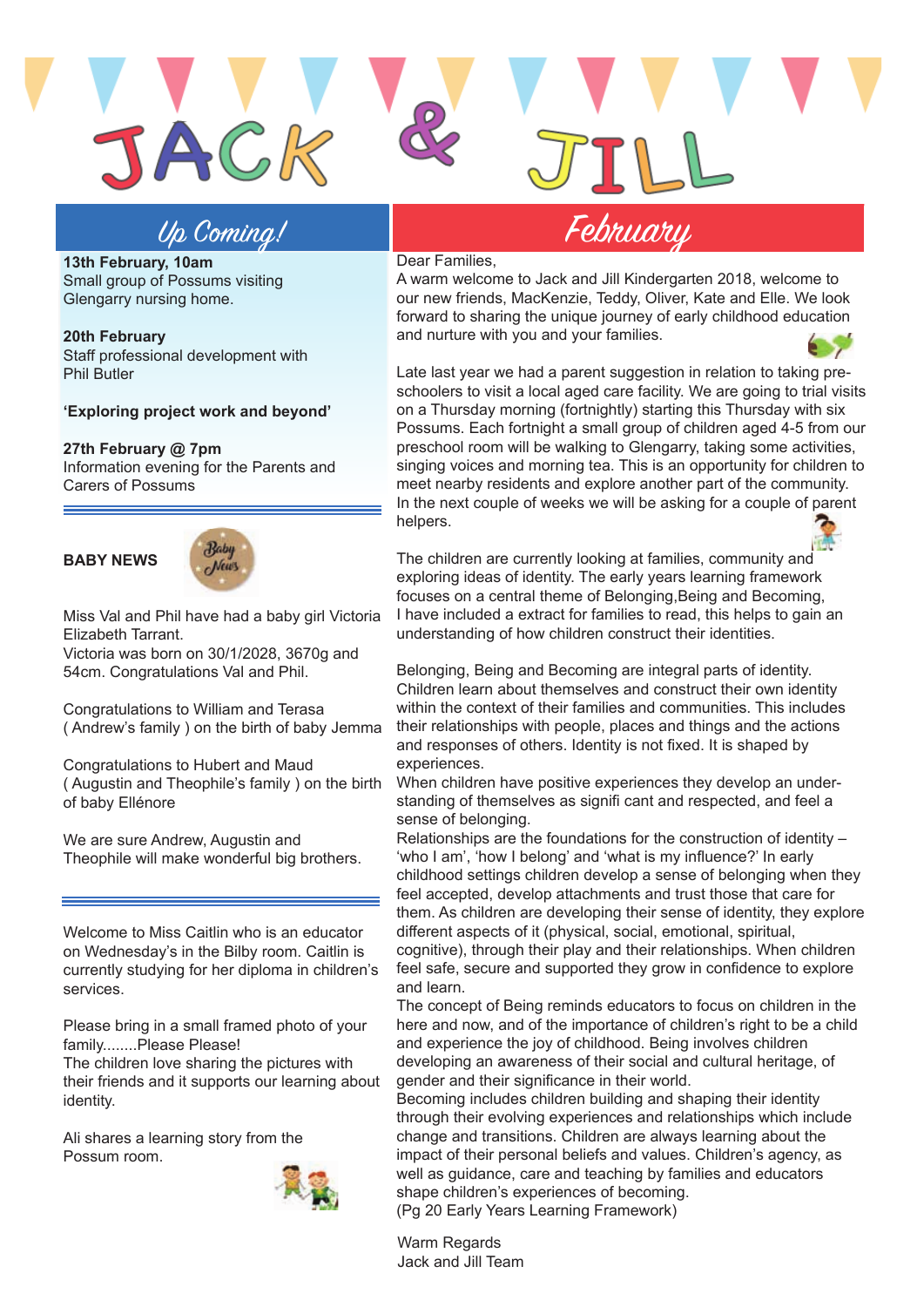

JACK

**13th February, 10am**  Small group of Possums visiting Glengarry nursing home.

**20th February**  Staff professional development with Phil Butler

### **'Exploring project work and beyond'**

#### **27th February @ 7pm**

Information evening for the Parents and Carers of Possums

## **BABY NEWS**



Miss Val and Phil have had a baby girl Victoria Elizabeth Tarrant.

Victoria was born on 30/1/2028, 3670g and 54cm. Congratulations Val and Phil.

Congratulations to William and Terasa ( Andrew's family ) on the birth of baby Jemma

Congratulations to Hubert and Maud ( Augustin and Theophile's family ) on the birth of baby Ellénore

We are sure Andrew, Augustin and Theophile will make wonderful big brothers.

Welcome to Miss Caitlin who is an educator on Wednesday's in the Bilby room. Caitlin is currently studying for her diploma in children's services.

Please bring in a small framed photo of your family........Please Please!

The children love sharing the pictures with their friends and it supports our learning about identity.

Ali shares a learning story from the Possum room.



Dear Families,

A warm welcome to Jack and Jill Kindergarten 2018, welcome to our new friends, MacKenzie, Teddy, Oliver, Kate and Elle. We look forward to sharing the unique journey of early childhood education and nurture with you and your families.



Late last year we had a parent suggestion in relation to taking preschoolers to visit a local aged care facility. We are going to trial visits on a Thursday morning (fortnightly) starting this Thursday with six Possums. Each fortnight a small group of children aged 4-5 from our preschool room will be walking to Glengarry, taking some activities, singing voices and morning tea. This is an opportunity for children to meet nearby residents and explore another part of the community. In the next couple of weeks we will be asking for a couple of parent helpers.



The children are currently looking at families, community and exploring ideas of identity. The early years learning framework focuses on a central theme of Belonging,Being and Becoming, I have included a extract for families to read, this helps to gain an understanding of how children construct their identities.

Belonging, Being and Becoming are integral parts of identity. Children learn about themselves and construct their own identity within the context of their families and communities. This includes their relationships with people, places and things and the actions and responses of others. Identity is not fixed. It is shaped by experiences.

When children have positive experiences they develop an understanding of themselves as signifi cant and respected, and feel a sense of belonging.

Relationships are the foundations for the construction of identity – 'who I am', 'how I belong' and 'what is my influence?' In early childhood settings children develop a sense of belonging when they feel accepted, develop attachments and trust those that care for them. As children are developing their sense of identity, they explore different aspects of it (physical, social, emotional, spiritual, cognitive), through their play and their relationships. When children feel safe, secure and supported they grow in confidence to explore and learn.

The concept of Being reminds educators to focus on children in the here and now, and of the importance of children's right to be a child and experience the joy of childhood. Being involves children developing an awareness of their social and cultural heritage, of gender and their significance in their world.

Becoming includes children building and shaping their identity through their evolving experiences and relationships which include change and transitions. Children are always learning about the impact of their personal beliefs and values. Children's agency, as well as guidance, care and teaching by families and educators shape children's experiences of becoming. (Pg 20 Early Years Learning Framework)

Warm Regards Jack and Jill Team